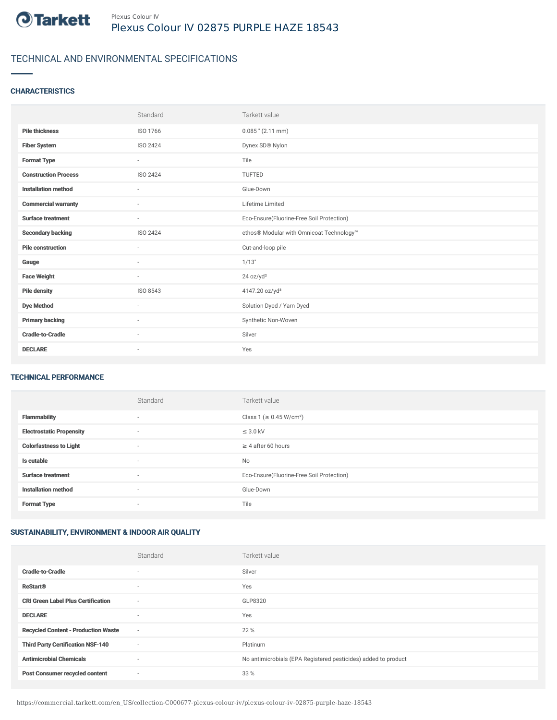

# TECHNICAL AND ENVIRONMENTAL SPECIFICATIONS

### **CHARACTERISTICS**

|                             | Standard                 | Tarkett value                             |
|-----------------------------|--------------------------|-------------------------------------------|
| <b>Pile thickness</b>       | ISO 1766                 | $0.085$ " (2.11 mm)                       |
| <b>Fiber System</b>         | ISO 2424                 | Dynex SD® Nylon                           |
| <b>Format Type</b>          | $\sim$                   | Tile                                      |
| <b>Construction Process</b> | ISO 2424                 | TUFTED                                    |
| <b>Installation method</b>  | $\overline{\phantom{a}}$ | Glue-Down                                 |
| <b>Commercial warranty</b>  | $\sim$                   | Lifetime Limited                          |
| <b>Surface treatment</b>    | $\sim$                   | Eco-Ensure(Fluorine-Free Soil Protection) |
| <b>Secondary backing</b>    | ISO 2424                 | ethos® Modular with Omnicoat Technology™  |
| <b>Pile construction</b>    | $\sim$                   | Cut-and-loop pile                         |
| Gauge                       | $\sim$                   | 1/13"                                     |
| <b>Face Weight</b>          | $\sim$                   | 24 oz/yd <sup>2</sup>                     |
| <b>Pile density</b>         | ISO 8543                 | 4147.20 oz/yd <sup>3</sup>                |
| <b>Dye Method</b>           | ٠                        | Solution Dyed / Yarn Dyed                 |
| <b>Primary backing</b>      | ٠                        | Synthetic Non-Woven                       |
| <b>Cradle-to-Cradle</b>     | $\sim$                   | Silver                                    |
| <b>DECLARE</b>              | $\overline{\phantom{a}}$ | Yes                                       |

#### TECHNICAL PERFORMANCE

|                                 | Standard                 | Tarkett value                             |
|---------------------------------|--------------------------|-------------------------------------------|
| <b>Flammability</b>             | $\sim$                   | Class 1 (≥ 0.45 W/cm <sup>2</sup> )       |
| <b>Electrostatic Propensity</b> | $\sim$                   | $\leq$ 3.0 kV                             |
| <b>Colorfastness to Light</b>   | $\sim$                   | $\geq$ 4 after 60 hours                   |
| Is cutable                      | $\sim$                   | No                                        |
| <b>Surface treatment</b>        | $\overline{\phantom{a}}$ | Eco-Ensure(Fluorine-Free Soil Protection) |
| <b>Installation method</b>      | $\overline{\phantom{a}}$ | Glue-Down                                 |
| <b>Format Type</b>              | $\sim$                   | Tile                                      |

## SUSTAINABILITY, ENVIRONMENT & INDOOR AIR QUALITY

|                                            | Standard                 | Tarkett value                                                  |
|--------------------------------------------|--------------------------|----------------------------------------------------------------|
| <b>Cradle-to-Cradle</b>                    | $\overline{\phantom{a}}$ | Silver                                                         |
| <b>ReStart®</b>                            | $\overline{\phantom{a}}$ | Yes                                                            |
| <b>CRI Green Label Plus Certification</b>  | $\sim$                   | GLP8320                                                        |
| <b>DECLARE</b>                             | $\overline{\phantom{a}}$ | Yes                                                            |
| <b>Recycled Content - Production Waste</b> | $\sim$                   | 22 %                                                           |
| <b>Third Party Certification NSF-140</b>   | $\sim$                   | Platinum                                                       |
| <b>Antimicrobial Chemicals</b>             | $\overline{\phantom{a}}$ | No antimicrobials (EPA Registered pesticides) added to product |
| <b>Post Consumer recycled content</b>      | ٠                        | 33 %                                                           |